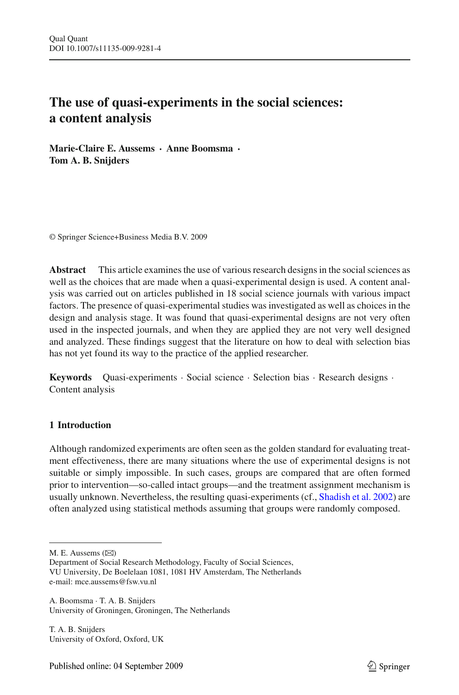# **The use of quasi-experiments in the social sciences: a content analysis**

**Marie-Claire E. Aussems · Anne Boomsma · Tom A. B. Snijders**

© Springer Science+Business Media B.V. 2009

**Abstract** This article examines the use of various research designs in the social sciences as well as the choices that are made when a quasi-experimental design is used. A content analysis was carried out on articles published in 18 social science journals with various impact factors. The presence of quasi-experimental studies was investigated as well as choices in the design and analysis stage. It was found that quasi-experimental designs are not very often used in the inspected journals, and when they are applied they are not very well designed and analyzed. These findings suggest that the literature on how to deal with selection bias has not yet found its way to the practice of the applied researcher.

**Keywords** Quasi-experiments · Social science · Selection bias · Research designs · Content analysis

# **1 Introduction**

Although randomized experiments are often seen as the golden standard for evaluating treatment effectiveness, there are many situations where the use of experimental designs is not suitable or simply impossible. In such cases, groups are compared that are often formed prior to intervention—so-called intact groups—and the treatment assignment mechanism is usually unknown. Nevertheless, the resulting quasi-experiments (cf., [Shadish et al. 2002](#page-21-0)) are often analyzed using statistical methods assuming that groups were randomly composed.

M. E. Aussems  $(\boxtimes)$ 

- Department of Social Research Methodology, Faculty of Social Sciences, VU University, De Boelelaan 1081, 1081 HV Amsterdam, The Netherlands e-mail: mce.aussems@fsw.vu.nl
- A. Boomsma · T. A. B. Snijders University of Groningen, Groningen, The Netherlands

T. A. B. Snijders University of Oxford, Oxford, UK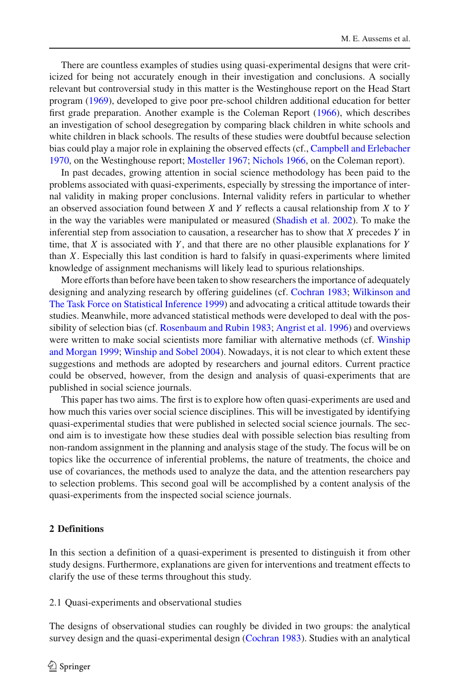There are countless examples of studies using quasi-experimental designs that were criticized for being not accurately enough in their investigation and conclusions. A socially relevant but controversial study in this matter is the Westinghouse report on the Head Start program [\(1969\)](#page-21-1), developed to give poor pre-school children additional education for better first grade preparation. Another example is the Coleman Report [\(1966](#page-21-2)), which describes an investigation of school desegregation by comparing black children in white schools and white children in black schools. The results of these studies were doubtful because selection bias could play a major role in explaining the observed effects (cf., [Campbell and Erlebacher](#page-21-3) [1970](#page-21-3), on the Westinghouse report; [Mosteller 1967](#page-21-4); [Nichols 1966,](#page-21-5) on the Coleman report).

In past decades, growing attention in social science methodology has been paid to the problems associated with quasi-experiments, especially by stressing the importance of internal validity in making proper conclusions. Internal validity refers in particular to whether an observed association found between *X* and *Y* reflects a causal relationship from *X* to *Y* in the way the variables were manipulated or measured [\(Shadish et al. 2002\)](#page-21-0). To make the inferential step from association to causation, a researcher has to show that *X* precedes *Y* in time, that *X* is associated with *Y* , and that there are no other plausible explanations for *Y* than *X*. Especially this last condition is hard to falsify in quasi-experiments where limited knowledge of assignment mechanisms will likely lead to spurious relationships.

More efforts than before have been taken to show researchers the importance of adequately designing and analyzing research by o[ffering](#page-21-7) [guidelines](#page-21-7) [\(cf.](#page-21-7) [Cochran 1983](#page-21-6); Wilkinson and The Task Force on Statistical Inference [1999\)](#page-21-7) and advocating a critical attitude towards their studies. Meanwhile, more advanced statistical methods were developed to deal with the possibility of selection bias (cf. [Rosenbaum and Rubin 1983;](#page-21-8) [Angrist et al. 1996\)](#page-21-9) and overviews were writte[n](#page-21-10) [to](#page-21-10) [make](#page-21-10) [social](#page-21-10) [scientists](#page-21-10) [more](#page-21-10) [familiar](#page-21-10) [with](#page-21-10) [alternative](#page-21-10) [methods](#page-21-10) [\(cf.](#page-21-10) Winship and Morgan [1999;](#page-21-10) [Winship and Sobel 2004\)](#page-21-11). Nowadays, it is not clear to which extent these suggestions and methods are adopted by researchers and journal editors. Current practice could be observed, however, from the design and analysis of quasi-experiments that are published in social science journals.

This paper has two aims. The first is to explore how often quasi-experiments are used and how much this varies over social science disciplines. This will be investigated by identifying quasi-experimental studies that were published in selected social science journals. The second aim is to investigate how these studies deal with possible selection bias resulting from non-random assignment in the planning and analysis stage of the study. The focus will be on topics like the occurrence of inferential problems, the nature of treatments, the choice and use of covariances, the methods used to analyze the data, and the attention researchers pay to selection problems. This second goal will be accomplished by a content analysis of the quasi-experiments from the inspected social science journals.

### **2 Definitions**

In this section a definition of a quasi-experiment is presented to distinguish it from other study designs. Furthermore, explanations are given for interventions and treatment effects to clarify the use of these terms throughout this study.

2.1 Quasi-experiments and observational studies

The designs of observational studies can roughly be divided in two groups: the analytical survey design and the quasi-experimental design [\(Cochran 1983](#page-21-6)). Studies with an analytical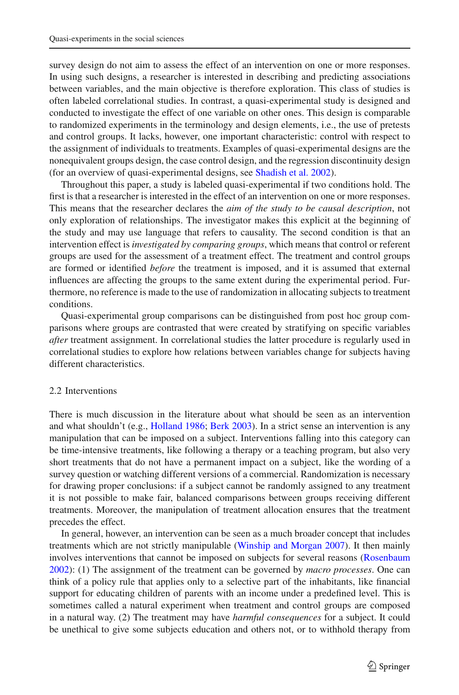survey design do not aim to assess the effect of an intervention on one or more responses. In using such designs, a researcher is interested in describing and predicting associations between variables, and the main objective is therefore exploration. This class of studies is often labeled correlational studies. In contrast, a quasi-experimental study is designed and conducted to investigate the effect of one variable on other ones. This design is comparable to randomized experiments in the terminology and design elements, i.e., the use of pretests and control groups. It lacks, however, one important characteristic: control with respect to the assignment of individuals to treatments. Examples of quasi-experimental designs are the nonequivalent groups design, the case control design, and the regression discontinuity design (for an overview of quasi-experimental designs, see [Shadish et al. 2002\)](#page-21-0).

Throughout this paper, a study is labeled quasi-experimental if two conditions hold. The first is that a researcher is interested in the effect of an intervention on one or more responses. This means that the researcher declares the *aim of the study to be causal description*, not only exploration of relationships. The investigator makes this explicit at the beginning of the study and may use language that refers to causality. The second condition is that an intervention effect is *investigated by comparing groups*, which means that control or referent groups are used for the assessment of a treatment effect. The treatment and control groups are formed or identified *before* the treatment is imposed, and it is assumed that external influences are affecting the groups to the same extent during the experimental period. Furthermore, no reference is made to the use of randomization in allocating subjects to treatment conditions.

Quasi-experimental group comparisons can be distinguished from post hoc group comparisons where groups are contrasted that were created by stratifying on specific variables *after* treatment assignment. In correlational studies the latter procedure is regularly used in correlational studies to explore how relations between variables change for subjects having different characteristics.

### 2.2 Interventions

There is much discussion in the literature about what should be seen as an intervention and what shouldn't (e.g., [Holland 1986](#page-21-12); [Berk 2003](#page-21-13)). In a strict sense an intervention is any manipulation that can be imposed on a subject. Interventions falling into this category can be time-intensive treatments, like following a therapy or a teaching program, but also very short treatments that do not have a permanent impact on a subject, like the wording of a survey question or watching different versions of a commercial. Randomization is necessary for drawing proper conclusions: if a subject cannot be randomly assigned to any treatment it is not possible to make fair, balanced comparisons between groups receiving different treatments. Moreover, the manipulation of treatment allocation ensures that the treatment precedes the effect.

In general, however, an intervention can be seen as a much broader concept that includes treatments which are not strictly manipulable [\(Winship and Morgan 2007](#page-21-14)). It then mainly involves interventions that cannot be imposed on subjects for several reasons [\(Rosenbaum](#page-21-15) [2002](#page-21-15)): (1) The assignment of the treatment can be governed by *macro processes*. One can think of a policy rule that applies only to a selective part of the inhabitants, like financial support for educating children of parents with an income under a predefined level. This is sometimes called a natural experiment when treatment and control groups are composed in a natural way. (2) The treatment may have *harmful consequences* for a subject. It could be unethical to give some subjects education and others not, or to withhold therapy from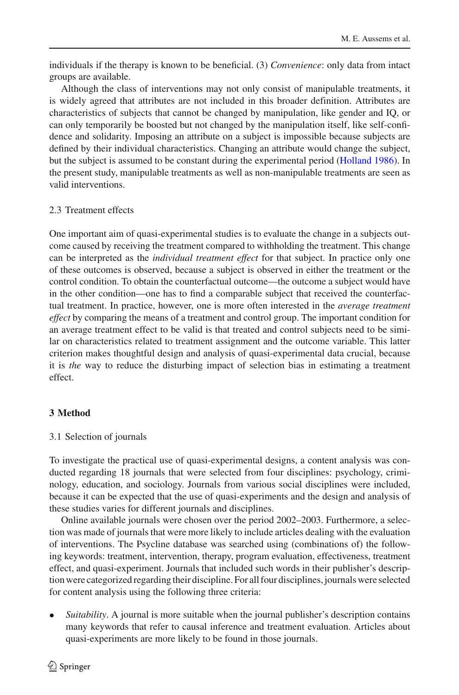individuals if the therapy is known to be beneficial. (3) *Convenience*: only data from intact groups are available.

Although the class of interventions may not only consist of manipulable treatments, it is widely agreed that attributes are not included in this broader definition. Attributes are characteristics of subjects that cannot be changed by manipulation, like gender and IQ, or can only temporarily be boosted but not changed by the manipulation itself, like self-confidence and solidarity. Imposing an attribute on a subject is impossible because subjects are defined by their individual characteristics. Changing an attribute would change the subject, but the subject is assumed to be constant during the experimental period [\(Holland 1986](#page-21-12)). In the present study, manipulable treatments as well as non-manipulable treatments are seen as valid interventions.

### 2.3 Treatment effects

One important aim of quasi-experimental studies is to evaluate the change in a subjects outcome caused by receiving the treatment compared to withholding the treatment. This change can be interpreted as the *individual treatment effect* for that subject. In practice only one of these outcomes is observed, because a subject is observed in either the treatment or the control condition. To obtain the counterfactual outcome—the outcome a subject would have in the other condition—one has to find a comparable subject that received the counterfactual treatment. In practice, however, one is more often interested in the *average treatment effect* by comparing the means of a treatment and control group. The important condition for an average treatment effect to be valid is that treated and control subjects need to be similar on characteristics related to treatment assignment and the outcome variable. This latter criterion makes thoughtful design and analysis of quasi-experimental data crucial, because it is *the* way to reduce the disturbing impact of selection bias in estimating a treatment effect.

### **3 Method**

#### 3.1 Selection of journals

To investigate the practical use of quasi-experimental designs, a content analysis was conducted regarding 18 journals that were selected from four disciplines: psychology, criminology, education, and sociology. Journals from various social disciplines were included, because it can be expected that the use of quasi-experiments and the design and analysis of these studies varies for different journals and disciplines.

Online available journals were chosen over the period 2002–2003. Furthermore, a selection was made of journals that were more likely to include articles dealing with the evaluation of interventions. The Psycline database was searched using (combinations of) the following keywords: treatment, intervention, therapy, program evaluation, effectiveness, treatment effect, and quasi-experiment. Journals that included such words in their publisher's description were categorized regarding their discipline. For all four disciplines, journals were selected for content analysis using the following three criteria:

• *Suitability*. A journal is more suitable when the journal publisher's description contains many keywords that refer to causal inference and treatment evaluation. Articles about quasi-experiments are more likely to be found in those journals.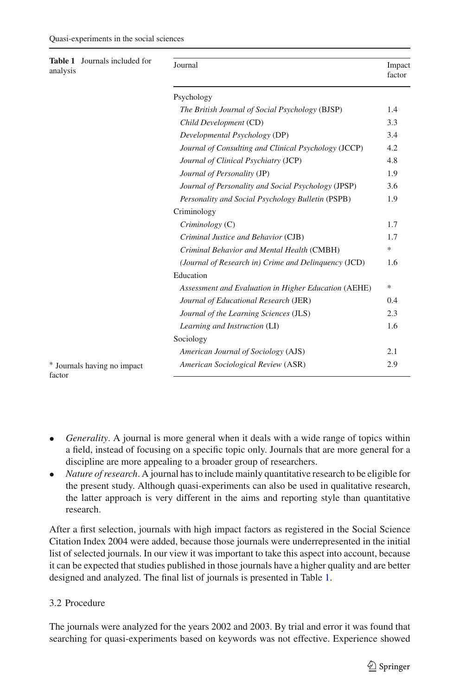**Table 1** Jo analysis

<span id="page-4-0"></span>

| <b>Table 1</b> Journals included for<br>analysis | Journal                                              | Impact<br>factor |
|--------------------------------------------------|------------------------------------------------------|------------------|
|                                                  | Psychology                                           |                  |
|                                                  | The British Journal of Social Psychology (BJSP)      | 1.4              |
|                                                  | Child Development (CD)                               | 3.3              |
|                                                  | Developmental Psychology (DP)                        | 3.4              |
|                                                  | Journal of Consulting and Clinical Psychology (JCCP) | 4.2              |
|                                                  | Journal of Clinical Psychiatry (JCP)                 | 4.8              |
|                                                  | Journal of Personality (JP)                          | 1.9              |
|                                                  | Journal of Personality and Social Psychology (JPSP)  | 3.6              |
|                                                  | Personality and Social Psychology Bulletin (PSPB)    | 1.9              |
|                                                  | Criminology                                          |                  |
|                                                  | Criminology(C)                                       | 1.7              |
|                                                  | Criminal Justice and Behavior (CJB)                  | 1.7              |
|                                                  | Criminal Behavior and Mental Health (CMBH)           | *                |
|                                                  | (Journal of Research in) Crime and Delinguency (JCD) | 1.6              |
|                                                  | Education                                            |                  |
|                                                  | Assessment and Evaluation in Higher Education (AEHE) | *                |
|                                                  | Journal of Educational Research (JER)                | 0.4              |
|                                                  | Journal of the Learning Sciences (JLS)               | 2.3              |
|                                                  | Learning and Instruction (LI)                        | 1.6              |
|                                                  | Sociology                                            |                  |
|                                                  | American Journal of Sociology (AJS)                  | 2.1              |
| * Journals having no impact<br>factor            | American Sociological Review (ASR)                   | 2.9              |

- *Generality*. A journal is more general when it deals with a wide range of topics within a field, instead of focusing on a specific topic only. Journals that are more general for a discipline are more appealing to a broader group of researchers.
- *Nature of research*. A journal has to include mainly quantitative research to be eligible for the present study. Although quasi-experiments can also be used in qualitative research, the latter approach is very different in the aims and reporting style than quantitative research.

After a first selection, journals with high impact factors as registered in the Social Science Citation Index 2004 were added, because those journals were underrepresented in the initial list of selected journals. In our view it was important to take this aspect into account, because it can be expected that studies published in those journals have a higher quality and are better designed and analyzed. The final list of journals is presented in Table [1.](#page-4-0)

# 3.2 Procedure

The journals were analyzed for the years 2002 and 2003. By trial and error it was found that searching for quasi-experiments based on keywords was not effective. Experience showed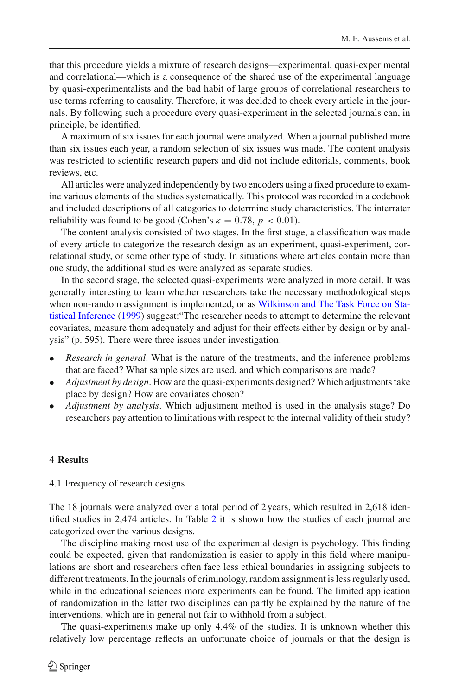that this procedure yields a mixture of research designs—experimental, quasi-experimental and correlational—which is a consequence of the shared use of the experimental language by quasi-experimentalists and the bad habit of large groups of correlational researchers to use terms referring to causality. Therefore, it was decided to check every article in the journals. By following such a procedure every quasi-experiment in the selected journals can, in principle, be identified.

A maximum of six issues for each journal were analyzed. When a journal published more than six issues each year, a random selection of six issues was made. The content analysis was restricted to scientific research papers and did not include editorials, comments, book reviews, etc.

All articles were analyzed independently by two encoders using a fixed procedure to examine various elements of the studies systematically. This protocol was recorded in a codebook and included descriptions of all categories to determine study characteristics. The interrater reliability was found to be good (Cohen's  $\kappa = 0.78$ ,  $p < 0.01$ ).

The content analysis consisted of two stages. In the first stage, a classification was made of every article to categorize the research design as an experiment, quasi-experiment, correlational study, or some other type of study. In situations where articles contain more than one study, the additional studies were analyzed as separate studies.

In the second stage, the selected quasi-experiments were analyzed in more detail. It was generally interesting to learn whether researchers take the necessary methodological steps when non-rando[m](#page-21-7) [assignment](#page-21-7) [is](#page-21-7) [implemented,](#page-21-7) [or](#page-21-7) [as](#page-21-7) Wilkinson and The Task Force on Statistical Inference [\(1999](#page-21-7)) suggest:"The researcher needs to attempt to determine the relevant covariates, measure them adequately and adjust for their effects either by design or by analysis" (p. 595). There were three issues under investigation:

- *Research in general*. What is the nature of the treatments, and the inference problems that are faced? What sample sizes are used, and which comparisons are made?
- *Adjustment by design*. How are the quasi-experiments designed? Which adjustments take place by design? How are covariates chosen?
- *Adjustment by analysis*. Which adjustment method is used in the analysis stage? Do researchers pay attention to limitations with respect to the internal validity of their study?

#### **4 Results**

#### 4.1 Frequency of research designs

The 18 journals were analyzed over a total period of 2 years, which resulted in 2,618 identified studies in 2,474 articles. In Table [2](#page-6-0) it is shown how the studies of each journal are categorized over the various designs.

The discipline making most use of the experimental design is psychology. This finding could be expected, given that randomization is easier to apply in this field where manipulations are short and researchers often face less ethical boundaries in assigning subjects to different treatments. In the journals of criminology, random assignment is less regularly used, while in the educational sciences more experiments can be found. The limited application of randomization in the latter two disciplines can partly be explained by the nature of the interventions, which are in general not fair to withhold from a subject.

The quasi-experiments make up only 4.4% of the studies. It is unknown whether this relatively low percentage reflects an unfortunate choice of journals or that the design is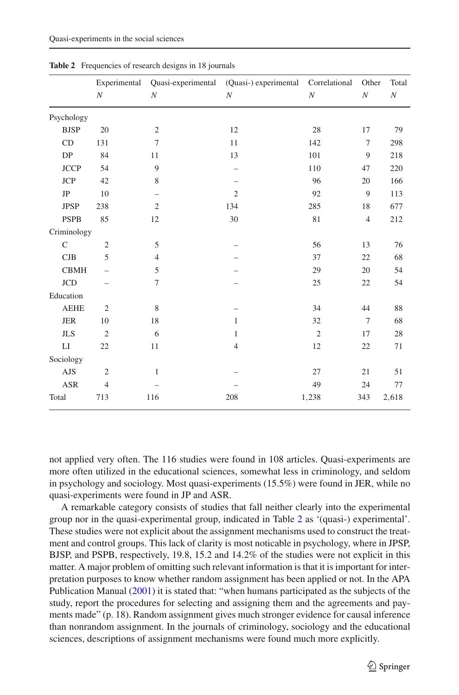<span id="page-6-0"></span>

|             | Experimental   |                | Quasi-experimental (Quasi-) experimental | Correlational  | Other          | Total    |
|-------------|----------------|----------------|------------------------------------------|----------------|----------------|----------|
|             | $\cal N$       | $\cal N$       | $\boldsymbol{N}$                         | $\cal N$       | $\cal N$       | $\cal N$ |
| Psychology  |                |                |                                          |                |                |          |
| <b>BJSP</b> | 20             | $\mathfrak{2}$ | 12                                       | 28             | 17             | 79       |
| CD          | 131            | $\tau$         | 11                                       | 142            | $\tau$         | 298      |
| DP          | 84             | 11             | 13                                       | 101            | 9              | 218      |
| <b>JCCP</b> | 54             | 9              |                                          | 110            | 47             | 220      |
| <b>JCP</b>  | 42             | 8              | $\qquad \qquad$                          | 96             | 20             | 166      |
| JP          | 10             | -              | $\overline{2}$                           | 92             | 9              | 113      |
| <b>JPSP</b> | 238            | $\mathfrak{2}$ | 134                                      | 285            | 18             | 677      |
| <b>PSPB</b> | 85             | 12             | 30                                       | $8\sqrt{1}$    | $\overline{4}$ | 212      |
| Criminology |                |                |                                          |                |                |          |
| $\mathsf C$ | $\mathfrak{2}$ | 5              |                                          | 56             | 13             | 76       |
| CJB         | 5              | $\overline{4}$ |                                          | 37             | 22             | 68       |
| <b>CBMH</b> | -              | 5              |                                          | 29             | 20             | 54       |
| <b>JCD</b>  |                | $\tau$         |                                          | 25             | 22             | 54       |
| Education   |                |                |                                          |                |                |          |
| <b>AEHE</b> | $\mathfrak{2}$ | 8              |                                          | 34             | 44             | 88       |
| <b>JER</b>  | 10             | 18             | $\mathbf{1}$                             | 32             | $\overline{7}$ | 68       |
| <b>JLS</b>  | $\mathfrak{2}$ | 6              | $\mathbf{1}$                             | $\overline{2}$ | 17             | 28       |
| LI          | 22             | 11             | $\overline{4}$                           | 12             | 22             | 71       |
| Sociology   |                |                |                                          |                |                |          |
| AJS         | $\mathfrak{2}$ | $\mathbf{1}$   |                                          | 27             | 21             | 51       |
| ASR         | $\overline{4}$ |                |                                          | 49             | 24             | 77       |
| Total       | 713            | 116            | 208                                      | 1,238          | 343            | 2,618    |

Table 2 Frequencies of research designs in 18 journals

not applied very often. The 116 studies were found in 108 articles. Quasi-experiments are more often utilized in the educational sciences, somewhat less in criminology, and seldom in psychology and sociology. Most quasi-experiments (15.5%) were found in JER, while no quasi-experiments were found in JP and ASR.

A remarkable category consists of studies that fall neither clearly into the experimental group nor in the quasi-experimental group, indicated in Table [2](#page-6-0) as '(quasi-) experimental'. These studies were not explicit about the assignment mechanisms used to construct the treatment and control groups. This lack of clarity is most noticable in psychology, where in JPSP, BJSP, and PSPB, respectively, 19.8, 15.2 and 14.2% of the studies were not explicit in this matter. A major problem of omitting such relevant information is that it is important for interpretation purposes to know whether random assignment has been applied or not. In the APA Publication Manual [\(2001\)](#page-21-16) it is stated that: "when humans participated as the subjects of the study, report the procedures for selecting and assigning them and the agreements and payments made" (p. 18). Random assignment gives much stronger evidence for causal inference than nonrandom assignment. In the journals of criminology, sociology and the educational sciences, descriptions of assignment mechanisms were found much more explicitly.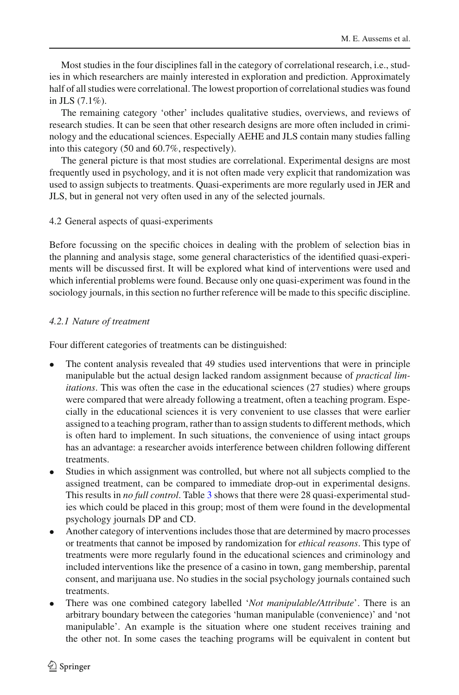Most studies in the four disciplines fall in the category of correlational research, i.e., studies in which researchers are mainly interested in exploration and prediction. Approximately half of all studies were correlational. The lowest proportion of correlational studies was found in JLS (7.1%).

The remaining category 'other' includes qualitative studies, overviews, and reviews of research studies. It can be seen that other research designs are more often included in criminology and the educational sciences. Especially AEHE and JLS contain many studies falling into this category (50 and 60.7%, respectively).

The general picture is that most studies are correlational. Experimental designs are most frequently used in psychology, and it is not often made very explicit that randomization was used to assign subjects to treatments. Quasi-experiments are more regularly used in JER and JLS, but in general not very often used in any of the selected journals.

### 4.2 General aspects of quasi-experiments

Before focussing on the specific choices in dealing with the problem of selection bias in the planning and analysis stage, some general characteristics of the identified quasi-experiments will be discussed first. It will be explored what kind of interventions were used and which inferential problems were found. Because only one quasi-experiment was found in the sociology journals, in this section no further reference will be made to this specific discipline.

### *4.2.1 Nature of treatment*

Four different categories of treatments can be distinguished:

- The content analysis revealed that 49 studies used interventions that were in principle manipulable but the actual design lacked random assignment because of *practical limitations*. This was often the case in the educational sciences (27 studies) where groups were compared that were already following a treatment, often a teaching program. Especially in the educational sciences it is very convenient to use classes that were earlier assigned to a teaching program, rather than to assign students to different methods, which is often hard to implement. In such situations, the convenience of using intact groups has an advantage: a researcher avoids interference between children following different treatments.
- Studies in which assignment was controlled, but where not all subjects complied to the assigned treatment, can be compared to immediate drop-out in experimental designs. This results in *no full control*. Table [3](#page-9-0) shows that there were 28 quasi-experimental studies which could be placed in this group; most of them were found in the developmental psychology journals DP and CD.
- Another category of interventions includes those that are determined by macro processes or treatments that cannot be imposed by randomization for *ethical reasons*. This type of treatments were more regularly found in the educational sciences and criminology and included interventions like the presence of a casino in town, gang membership, parental consent, and marijuana use. No studies in the social psychology journals contained such treatments.
- There was one combined category labelled '*Not manipulable/Attribute*'. There is an arbitrary boundary between the categories 'human manipulable (convenience)' and 'not manipulable'. An example is the situation where one student receives training and the other not. In some cases the teaching programs will be equivalent in content but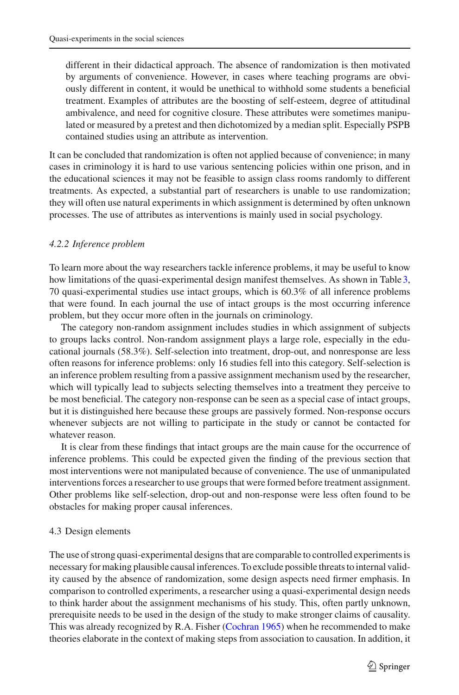different in their didactical approach. The absence of randomization is then motivated by arguments of convenience. However, in cases where teaching programs are obviously different in content, it would be unethical to withhold some students a beneficial treatment. Examples of attributes are the boosting of self-esteem, degree of attitudinal ambivalence, and need for cognitive closure. These attributes were sometimes manipulated or measured by a pretest and then dichotomized by a median split. Especially PSPB contained studies using an attribute as intervention.

It can be concluded that randomization is often not applied because of convenience; in many cases in criminology it is hard to use various sentencing policies within one prison, and in the educational sciences it may not be feasible to assign class rooms randomly to different treatments. As expected, a substantial part of researchers is unable to use randomization; they will often use natural experiments in which assignment is determined by often unknown processes. The use of attributes as interventions is mainly used in social psychology.

### *4.2.2 Inference problem*

To learn more about the way researchers tackle inference problems, it may be useful to know how limitations of the quasi-experimental design manifest themselves. As shown in Table [3,](#page-9-0) 70 quasi-experimental studies use intact groups, which is 60.3% of all inference problems that were found. In each journal the use of intact groups is the most occurring inference problem, but they occur more often in the journals on criminology.

The category non-random assignment includes studies in which assignment of subjects to groups lacks control. Non-random assignment plays a large role, especially in the educational journals (58.3%). Self-selection into treatment, drop-out, and nonresponse are less often reasons for inference problems: only 16 studies fell into this category. Self-selection is an inference problem resulting from a passive assignment mechanism used by the researcher, which will typically lead to subjects selecting themselves into a treatment they perceive to be most beneficial. The category non-response can be seen as a special case of intact groups, but it is distinguished here because these groups are passively formed. Non-response occurs whenever subjects are not willing to participate in the study or cannot be contacted for whatever reason.

It is clear from these findings that intact groups are the main cause for the occurrence of inference problems. This could be expected given the finding of the previous section that most interventions were not manipulated because of convenience. The use of unmanipulated interventions forces a researcher to use groups that were formed before treatment assignment. Other problems like self-selection, drop-out and non-response were less often found to be obstacles for making proper causal inferences.

### 4.3 Design elements

The use of strong quasi-experimental designs that are comparable to controlled experiments is necessary for making plausible causal inferences. To exclude possible threats to internal validity caused by the absence of randomization, some design aspects need firmer emphasis. In comparison to controlled experiments, a researcher using a quasi-experimental design needs to think harder about the assignment mechanisms of his study. This, often partly unknown, prerequisite needs to be used in the design of the study to make stronger claims of causality. This was already recognized by R.A. Fisher [\(Cochran 1965](#page-21-17)) when he recommended to make theories elaborate in the context of making steps from association to causation. In addition, it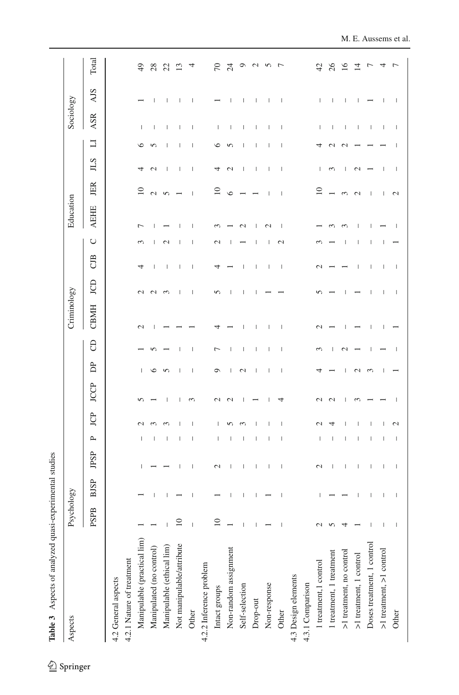<span id="page-9-0"></span>

| Table 3 Aspects of analyzed quasi-experimental studies |                 |             |                          |    |                    |                 |                       |    |                 |           |                 |                |             |                   |                 |                 |            |              |                          |
|--------------------------------------------------------|-----------------|-------------|--------------------------|----|--------------------|-----------------|-----------------------|----|-----------------|-----------|-----------------|----------------|-------------|-------------------|-----------------|-----------------|------------|--------------|--------------------------|
| Aspects                                                | Psy             | chology     |                          |    |                    |                 |                       |    | Criminology     |           |                 |                | Education   |                   |                 |                 | Sociology  |              |                          |
|                                                        | <b>PSPB</b>     | <b>BJSP</b> | JPSP                     | ≏  | <b>CP</b>          | JCCP            | È                     | පි | CBMH            | <b>CD</b> | B<br>UB         | $\cup$         | <b>AEHE</b> | JER               | STIL            | $\Box$          | <b>ASR</b> | <b>AJS</b>   | Total                    |
| 4.2 General aspects                                    |                 |             |                          |    |                    |                 |                       |    |                 |           |                 |                |             |                   |                 |                 |            |              |                          |
| 4.2.1 Nature of treatment                              |                 |             |                          |    |                    |                 |                       |    |                 |           |                 |                |             |                   |                 |                 |            |              |                          |
| Manipulable (practical lim)                            |                 |             | L                        | L  | $\sim$             | 5               | т                     |    | 2               | $\sim$    | 4               | $\mathfrak{g}$ | ┍           | $\approx$         | ↴               | ७               | T          |              | ₽                        |
| Manipulated (no control)                               |                 |             |                          | ı  |                    |                 | ∽                     |    |                 | $\sim$    |                 |                |             | $\mathcal{L}$     | $\mathbf{\sim}$ | n               | ı          |              | $^{28}$                  |
| Manipulable (ethical lim)                              |                 |             |                          |    |                    |                 | $\sqrt{2}$            |    |                 | $\sim$    |                 | $\sim$         |             | $\sqrt{2}$        |                 |                 |            |              | 22                       |
| Not manipulable/attribute                              | $\overline{10}$ |             |                          |    |                    |                 | 1                     |    |                 | -1        | ı               |                |             |                   | $\mathbf{I}$    |                 |            |              | ≌                        |
| Other                                                  | $\overline{1}$  |             | т                        | ı  | I                  |                 | I                     | ı  |                 | I         | I               | ı              |             | I                 | I               | ı               | I          | ı            | ᅿ                        |
| 4.2.2 Inference problem                                |                 |             |                          |    |                    |                 |                       |    |                 |           |                 |                |             |                   |                 |                 |            |              |                          |
| Intact groups                                          | $\supseteq$     |             | $\mathbf{\sim}$          | I  |                    | $\sim$          | $\circ$               | Γ  |                 | 5         | 4               | $\sim$         |             | $\supseteq$       | 4               | ७               | I          |              | 2                        |
| Non-random assignment                                  |                 |             | L                        | ı  |                    | $\mathbf{\sim}$ | ı                     |    |                 | ı         |                 |                |             | $\circ$           | $\mathbf{\sim}$ | n               | I          | ı            | 24                       |
| Self-selection                                         |                 | ı           | J.                       | J. | $\sim$             |                 | $\mathbf{\sim}$       | ı  |                 | ı         |                 |                |             |                   | ı               | ı               | ı          | ı            | ⊝                        |
| Drop-out                                               |                 |             | L                        | 1  |                    |                 | 1                     | ı  | ı               | ı         | ı               |                |             |                   | ı               |                 | ı          | 1            | $\sim$                   |
| Non-response                                           |                 |             | $\overline{\phantom{a}}$ | 1  |                    |                 | 1                     | 1  | ı               |           | ı               |                |             |                   | ı               | ı               | ı          | 1            |                          |
| Other                                                  |                 | ı           | I                        | 1  |                    | 4               | I                     | T  | п               |           | I               | $\sim$         |             | T                 | T               | ш               | п          | $\mathbf{I}$ |                          |
| 4.3 Design elements                                    |                 |             |                          |    |                    |                 |                       |    |                 |           |                 |                |             |                   |                 |                 |            |              |                          |
| 4.3.1 Comparison                                       |                 |             |                          |    |                    |                 |                       |    |                 |           |                 |                |             |                   |                 |                 |            |              |                          |
| 1 treatment, 1 control                                 | 2               | ı           | $\mathbf{\Omega}$        | I  | $\scriptstyle\sim$ | $\sim$          |                       | ᡤ  | $\mathbf{\sim}$ | n         | $\mathbf{\sim}$ |                |             | $\approx$         | I               | 4               | T          | T            | $\overline{4}$           |
| 1 treatment, 1 treatment                               |                 |             | -1                       | ı  |                    |                 |                       |    |                 |           |                 |                |             |                   | $\sim$          | $\sim$          | 1          | 1            | $\delta$                 |
| >1 treatment, no control                               |                 |             | I                        | I  |                    |                 | ш                     |    |                 |           |                 |                |             | $\sim$            | ı               | $\mathbf{\sim}$ | T          | T            | $\mathbf{\underline{6}}$ |
| >1 treatment, 1 control                                |                 |             | I                        | ı  |                    |                 | $\mathop{c}\nolimits$ |    |                 |           | I               |                |             | $\sim$            | $\sim$          |                 | ı          | ı            | 그                        |
| Doses treatment, 1 control                             |                 |             | ı                        | ı  |                    |                 | $\sim$                |    |                 | ı         | ı               |                |             |                   |                 |                 | 1          |              |                          |
| >1 treatment, >1 control                               |                 | I           | $\overline{\phantom{a}}$ | 1  | 1                  |                 | J.                    |    | ı               | I         | I               |                |             | 1                 | 1               |                 | T          | 1            |                          |
| Other                                                  |                 | 1           | I                        | I  | $\mathbf{\sim}$    |                 |                       |    |                 | т         | I               |                |             | $\mathbf{\Omega}$ | I               |                 | I          | ı            |                          |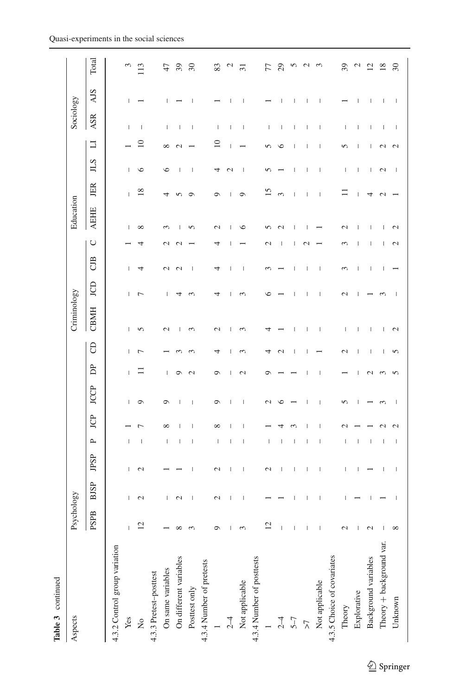| Е<br>Z<br>7<br>l<br>Ē |  |
|-----------------------|--|
| ۴<br>י                |  |
| ℶ                     |  |
|                       |  |

| Table 3 continued             |                    |                 |               |                                       |               |                 |                                       |                       |                          |                 |                |                 |                 |                                       |                   |                 |                          |            |                 |
|-------------------------------|--------------------|-----------------|---------------|---------------------------------------|---------------|-----------------|---------------------------------------|-----------------------|--------------------------|-----------------|----------------|-----------------|-----------------|---------------------------------------|-------------------|-----------------|--------------------------|------------|-----------------|
| Aspects                       | Psychology         |                 |               |                                       |               |                 |                                       |                       | Criminology              |                 |                |                 | Education       |                                       |                   |                 | Sociology                |            |                 |
|                               | <b>PSPB</b>        | <b>BJSP</b>     | JPSP          | $\sim$                                | <b>CP</b>     | JCCP            | $\mathbb{B}^{\mathbb{D}}$             | $\theta$              | CBMH                     | <b>CD</b>       | <b>SB</b>      | $\cup$          | <b>AEHE</b>     | JER                                   | STIC              | E               | <b>ASR</b>               | <b>AJS</b> | Total           |
| 4.3.2 Control group variation |                    |                 |               |                                       |               |                 |                                       |                       |                          |                 |                |                 |                 |                                       |                   |                 |                          |            |                 |
| Yes                           | I                  | т               | т             | $\begin{array}{c} \hline \end{array}$ |               | $\mathbf{I}$    | $\begin{array}{c} \hline \end{array}$ | т                     | т                        | т               | I              |                 | т               | $\begin{array}{c} \hline \end{array}$ | т                 |                 | $\overline{\phantom{a}}$ | T          | 3               |
| $\mathsf{S}^{\circ}$          | 12                 | $\mathcal{L}$   | $\mathcal{L}$ | $\mid$                                | ⊢             | $\circ$         | Ξ                                     | Γ                     | 5                        | Γ               | 4              | ᅿ               | $\infty$        | $\frac{8}{2}$                         | $\circ$           | $\overline{10}$ | I                        |            | 113             |
| 4.3.3 Pretest-posttest        |                    |                 |               |                                       |               |                 |                                       |                       |                          |                 |                |                 |                 |                                       |                   |                 |                          |            |                 |
| On same variables             |                    | ı               |               | I                                     | $\infty$      | Ó               | I                                     |                       | $\mathcal{L}$            | ı               | $\mathcal{L}$  | $\mathcal{L}$   | $\sim$          | 4                                     | ७                 | $\infty$        | т                        | ı          | 47              |
| On different variables        | ${}^{\circ}$       | $\mathcal{L}$   |               | $\mid$                                |               |                 | െ                                     |                       | ı                        | 4               | $\mathcal{L}$  | $\mathcal{L}$   |                 | $\sqrt{2}$                            | ı                 | $\sim$          | ı                        |            | 39              |
| Posttest only                 |                    | -1              | ı             | 1                                     |               | I               | $\mathbf{\sim}$                       | $\tilde{\phantom{a}}$ | $\mathfrak{g}$           | $\mathfrak{g}$  | -1             |                 | $\sqrt{2}$      | ◦                                     | 1                 |                 | I                        | I          | 30              |
| 4.3.4 Number of pretests      |                    |                 |               |                                       |               |                 |                                       |                       |                          |                 |                |                 |                 |                                       |                   |                 |                          |            |                 |
|                               | o                  | $\mathbf{\sim}$ | $\mathcal{L}$ | $\mid$                                | $\infty$      | ٥               | ⌒                                     | 4                     | $\mathcal{L}$            | 4               | 4              | 4               | $\mathcal{C}$   | ⌒                                     | 4                 | $\approx$       | I                        |            | 83              |
| $2-4$                         |                    |                 |               | I                                     |               | I               |                                       |                       | ı                        |                 | ı              |                 |                 | ı                                     | $\mathcal{L}$     |                 | ı                        |            |                 |
| Not applicable                | 3                  | I               | I             | $\overline{\phantom{a}}$              | ı             | I               | $\mathbf{\sim}$                       | 3                     | $\mathfrak{c}$           | 3               | -1             |                 | $\circ$         | $\circ$                               | -1                |                 | $\overline{\phantom{a}}$ | ı          | ಸ               |
| 4.3.4 Number of posttests     |                    |                 |               |                                       |               |                 |                                       |                       |                          |                 |                |                 |                 |                                       |                   |                 |                          |            |                 |
|                               | $\overline{12}$    |                 | 2             | I                                     |               | $\mathbf{\sim}$ | っ                                     |                       | 4                        | €               | $\mathfrak{g}$ | $\mathbf 2$     | n               | $\overline{15}$                       | S                 | $\sqrt{2}$      | I                        |            | 77              |
| $2-4$                         |                    |                 | I             | I                                     |               | ∽               |                                       | $\sim$                |                          |                 |                | ı               | $\sim$          | 3                                     |                   | $\circ$         | I                        | ı          | 29              |
| $5-7$                         |                    |                 |               | $\begin{array}{c} \end{array}$        |               |                 |                                       |                       | 1                        |                 |                |                 |                 |                                       |                   |                 | I                        |            | n               |
| $\tilde{K}$                   |                    |                 | I             | I                                     |               | ı               |                                       |                       | 1                        | I               | 1              | $\mathbf{\sim}$ |                 | I                                     | ı                 |                 | ı                        |            | $\mathbf{\sim}$ |
| Not applicable                |                    | I               | I             | I                                     |               | I               | $\mathbf{I}$                          |                       | $\overline{\phantom{a}}$ | I               | ı              |                 |                 | I                                     | I                 |                 | I                        | I          |                 |
| 4.3.5 Choice of covariates    |                    |                 |               |                                       |               |                 |                                       |                       |                          |                 |                |                 |                 |                                       |                   |                 |                          |            |                 |
| Theory                        | $\scriptstyle\sim$ | L               | I             | $\overline{\phantom{a}}$              | $\sim$        | 5               |                                       | N                     | ı                        | $\mathbf{\sim}$ | 3              | 3               | $\mathbf{\sim}$ |                                       | I                 | 5               | ı                        |            | 39              |
| Explorative                   |                    |                 | ı             | I                                     |               | ı               | ı                                     | ı                     | I                        | ı               | I              | ı               |                 | ı                                     | I                 | ı               | I                        | H          | $\sim$          |
| Background variables          | $\mathbf{\sim}$    |                 |               | $\mid$                                |               |                 | $\sim$                                | ı                     | ı                        |                 | I              | ı               |                 | 4                                     | L                 | ı               | I                        | I          | $\bar{\omega}$  |
| Theory + background var.      |                    |                 | I             | I                                     | N             | $\sim$          | $\sim$                                | ı                     | I                        | $\sim$          | I              | I               | п               | $\mathbf{\Omega}$                     | $\mathbf{\Omega}$ | $\mathbf{\sim}$ | 1                        | ı          | $\frac{8}{2}$   |
| Unknown                       | $\infty$           | $\mathbf{I}$    | $\mathbf{I}$  | $\mathbf{I}$                          | $\mathcal{L}$ | T               | $\sqrt{2}$                            | 5                     | $\mathcal{L}$            | T               |                | $\mathcal{L}$   | $\mathcal{L}$   |                                       | $\mathbf{I}$      | $\mathbf{C}$    | $\mathbf{I}$             | T          | $30\,$          |
|                               |                    |                 |               |                                       |               |                 |                                       |                       |                          |                 |                |                 |                 |                                       |                   |                 |                          |            |                 |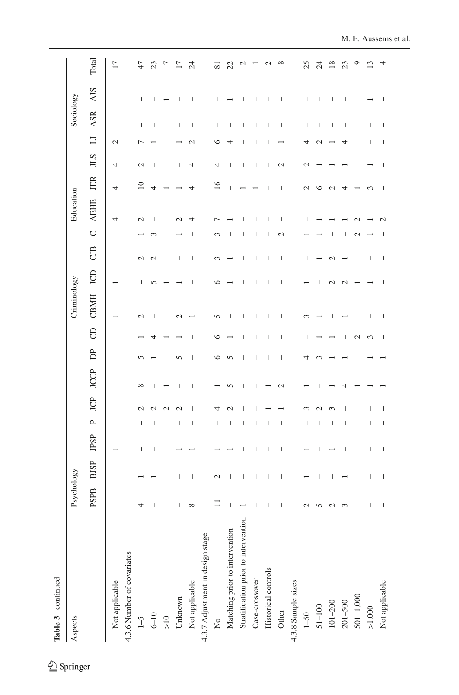| Table 3 continued                    |             |             |             |        |                          |          |   |          |             |                       |                                |        |                    |                       |                 |              |           |                |                 |
|--------------------------------------|-------------|-------------|-------------|--------|--------------------------|----------|---|----------|-------------|-----------------------|--------------------------------|--------|--------------------|-----------------------|-----------------|--------------|-----------|----------------|-----------------|
| Aspects                              | Psychology  |             |             |        |                          |          |   |          | Criminology |                       |                                |        | Education          |                       |                 |              | Sociology |                |                 |
|                                      | <b>PSPB</b> | <b>BJSP</b> | <b>JPSP</b> | $\sim$ | <b>C</b>                 | JCCP     | È | $\theta$ | CBMH        | JCD                   | <b>CB</b>                      | $\cup$ | <b>AEHE</b>        | <b>JER</b>            | <b>STIC</b>     | $\Box$       | ASR       | <b>AJS</b>     | Total           |
| Not applicable                       | I           | I           |             | I      | $\overline{\phantom{a}}$ | I        | I | I        |             |                       | $\begin{array}{c} \end{array}$ | I      | 4                  | 4                     | 4               | $\mathbf{C}$ | I         | $\overline{1}$ | $\overline{17}$ |
| 4.3.6 Number of covariates           |             |             |             |        |                          |          |   |          |             |                       |                                |        |                    |                       |                 |              |           |                |                 |
|                                      |             |             | ı           | ı      | $\scriptstyle\sim$       | $\infty$ | n |          | N           |                       | $\mathbf 2$                    |        | $\scriptstyle\sim$ | $\approx$             | 2               |              | ı         | L              | 4               |
| $\frac{1-5}{6-10}$                   |             |             |             | I      |                          |          |   |          | ı           |                       | $\mathbf{C}$                   |        |                    |                       | ı               |              |           |                | ೫               |
| $\geq 10$                            |             | ı           |             | ı      |                          |          |   |          |             |                       | ı                              |        |                    |                       | ı               |              |           |                |                 |
| Unknown                              |             | ı           |             | I      | $\sim$                   |          | S |          | $\sim$      |                       | J.                             |        |                    |                       | I               |              |           |                |                 |
| Not applicable                       | $\infty$    | I           |             | I      | ı                        | I        | I |          |             | I                     | I                              |        | 4                  |                       | 4               | $\sim$       | I         |                | $^{24}$         |
| 4.3.7 Adjustment in design stage     |             |             |             |        |                          |          |   |          |             |                       |                                |        |                    |                       |                 |              |           |                |                 |
| $\mathop{\mathsf{S}}\nolimits$       |             | 2           |             | I      |                          |          | ∘ | ∽        | n           | ≌                     | ∾                              |        |                    | $\approx$             | 4               |              | ı         | I              | ∞               |
| Matching prior to intervention       |             | ı           |             | I      |                          |          | n |          |             |                       |                                |        |                    |                       | ı               |              |           |                | S               |
| Stratification prior to intervention |             | I           | I           | I      | I                        | I        | I | I        | I           | ı                     | ı                              |        |                    |                       | I               |              |           | I              |                 |
| Case-crossover                       |             | ı           |             |        |                          |          | ı |          | ı           | ı                     | T                              |        |                    |                       | I               |              |           |                |                 |
| Historical controls                  |             |             |             |        |                          |          | I |          | I           | I                     | I                              |        |                    |                       | I               |              |           |                |                 |
| Other                                |             | I           | I           | L      |                          |          | ı |          | I           | L                     | L                              |        |                    | ı                     | $\mathbf{\sim}$ |              |           |                |                 |
| 4.3.8 Sample sizes                   |             |             |             |        |                          |          |   |          |             |                       |                                |        |                    |                       |                 |              |           |                |                 |
| $1 - 50$                             |             |             |             | T      |                          |          |   |          |             |                       |                                |        |                    | $\mathop{c}\nolimits$ |                 |              | ı         | 1              | 25              |
|                                      | r           | ı           | ı           | I      |                          |          |   |          |             |                       |                                |        |                    |                       |                 |              | ı         |                | 24              |
| $51-100$<br>$101-200$                |             |             |             | ı      |                          |          |   |          |             | $\mathop{c}\nolimits$ | C<br>√                         |        |                    |                       |                 |              |           |                | ≌               |
| $201 - 500$                          |             |             |             | ı      |                          |          |   |          |             | ᠭ                     |                                |        |                    |                       |                 |              |           | I              | Z               |
| $501 - 1,000$                        |             | I           | I           | ı      |                          |          |   |          |             |                       | ı                              |        |                    |                       |                 |              |           |                |                 |
| >1,000                               |             | ı           | ı           | ı      |                          |          |   |          | ı           |                       | T                              |        |                    |                       |                 |              |           |                |                 |
| Not applicable                       | I           |             | I           | I      | ı                        |          |   |          | I           |                       | ı                              |        |                    |                       |                 |              |           |                |                 |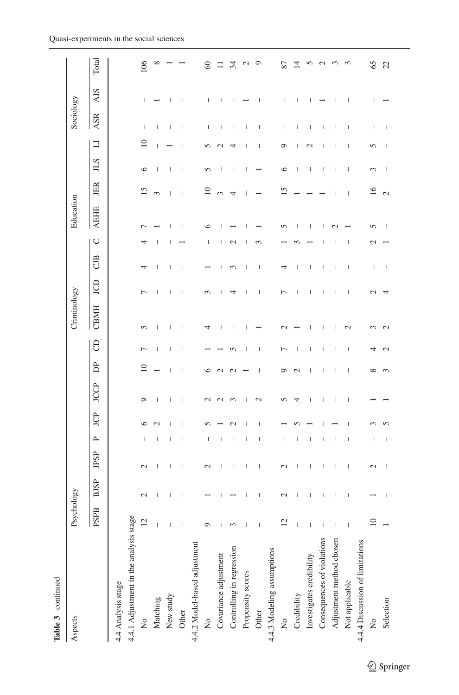| ອອ     |  |
|--------|--|
| ę      |  |
| a<br>÷ |  |
|        |  |

| Table 3 continued                      |                                                                                                                                                                                                                                                                                                                                                                                  |                 |                   |                                       |   |             |                           |                 |                 |        |                                       |        |             |                          |      |                 |              |                          |         |
|----------------------------------------|----------------------------------------------------------------------------------------------------------------------------------------------------------------------------------------------------------------------------------------------------------------------------------------------------------------------------------------------------------------------------------|-----------------|-------------------|---------------------------------------|---|-------------|---------------------------|-----------------|-----------------|--------|---------------------------------------|--------|-------------|--------------------------|------|-----------------|--------------|--------------------------|---------|
| Aspects                                | Psy                                                                                                                                                                                                                                                                                                                                                                              | chology         |                   |                                       |   |             |                           |                 | Criminology     |        |                                       |        | Education   |                          |      |                 | Sociology    |                          |         |
|                                        | <b>PSPB</b>                                                                                                                                                                                                                                                                                                                                                                      | <b>BJSP</b>     | JPSP              | ≏                                     | g | JCCP        | $\mathbb{B}^{\mathbb{D}}$ | $\Theta$        | CBMH            | g      | <b>CIB</b>                            | U      | <b>AEHE</b> | JER                      | STIL | $\Box$          | ASR          | AJS                      | Total   |
| 4.4 Analysis stage                     |                                                                                                                                                                                                                                                                                                                                                                                  |                 |                   |                                       |   |             |                           |                 |                 |        |                                       |        |             |                          |      |                 |              |                          |         |
| 4.4.1 Adjustment in the analysis stage |                                                                                                                                                                                                                                                                                                                                                                                  |                 |                   |                                       |   |             |                           |                 |                 |        |                                       |        |             |                          |      |                 |              |                          |         |
| 2                                      | $\overline{12}$                                                                                                                                                                                                                                                                                                                                                                  | $\mathbf{C}$    | $\mathbf{\Omega}$ | т                                     | ⊂ | $\circ$     | $\overline{10}$           | r               | $\sqrt{2}$      | ∼      | 4                                     | 4      |             | 15                       | ७    | $\overline{10}$ | I            | ı                        | 106     |
| Matching                               |                                                                                                                                                                                                                                                                                                                                                                                  |                 | ı                 | 1                                     |   |             |                           |                 |                 | H      | ı                                     |        |             | 3                        |      |                 | ı            |                          |         |
| New study                              |                                                                                                                                                                                                                                                                                                                                                                                  |                 | ı                 | 1                                     |   |             | ı                         |                 |                 | ı      |                                       |        |             | I                        |      |                 | ı            |                          |         |
| Other                                  |                                                                                                                                                                                                                                                                                                                                                                                  | ı               | I                 | I                                     |   | I           | I                         | ı               | ı               | ı      | ı                                     |        |             | $\overline{\phantom{a}}$ | I    | ı               | I            |                          |         |
| 4.4.2 Model-based adjustment           |                                                                                                                                                                                                                                                                                                                                                                                  |                 |                   |                                       |   |             |                           |                 |                 |        |                                       |        |             |                          |      |                 |              |                          |         |
| $\frac{1}{2}$                          | O                                                                                                                                                                                                                                                                                                                                                                                |                 | $\mathbf{\sim}$   | I                                     |   | $\sim$      | ≌                         |                 | 4               | $\sim$ |                                       | ı      | ∘           | $\approx$                | 5    |                 | I            | I                        | $\odot$ |
| Covariance adjustment                  |                                                                                                                                                                                                                                                                                                                                                                                  |                 | I                 | т                                     |   | $\sim$      | $\sim$                    |                 | I               | I      | I                                     | ı      |             | 3                        | I    | $\mathbf C$     | I            | I                        | Ξ       |
| Controlling in regression              |                                                                                                                                                                                                                                                                                                                                                                                  |                 | ı                 | I                                     |   | $\sim$      | $\sim$                    |                 | ı               | 4      | ç                                     | $\sim$ |             | 4                        | ı    | 4               | ı            | ı                        | 34      |
| Propensity scores                      |                                                                                                                                                                                                                                                                                                                                                                                  | I               | ı                 | I                                     |   | ı           |                           |                 |                 | I      | ı                                     |        |             | $\mathsf I$              | I    | I               | I            |                          | $\sim$  |
| Other                                  |                                                                                                                                                                                                                                                                                                                                                                                  | I               | I                 | T                                     | ı | $\mathbf 2$ | I                         | I               |                 | I      | T                                     | r      |             |                          |      | ı               | I            | I                        | O       |
| 4.4.3 Modeling assumptions             |                                                                                                                                                                                                                                                                                                                                                                                  |                 |                   |                                       |   |             |                           |                 |                 |        |                                       |        |             |                          |      |                 |              |                          |         |
| $\mathsf{S}^{\mathsf{O}}$              | 12                                                                                                                                                                                                                                                                                                                                                                               | $\mathbf{\sim}$ | $\mathbf{\sim}$   | 1                                     |   | 5           | ⌒                         |                 |                 | ┍      | ᆉ                                     |        | n           | N                        | ∽    | Φ               | т            | I                        | 87      |
| Credibility                            |                                                                                                                                                                                                                                                                                                                                                                                  |                 |                   | ı                                     |   |             | $\mathbf{C}$              |                 |                 | H      |                                       |        |             |                          |      |                 | I            |                          | 4       |
| Investigates credibility               | $\overline{1}$                                                                                                                                                                                                                                                                                                                                                                   | ı               | ı                 | $\mathbf{I}$                          |   |             | ı                         |                 |                 | ı      | ш                                     |        |             |                          | ı    | $\mathbf{\sim}$ | ı            |                          | n       |
| Consequences of violations             |                                                                                                                                                                                                                                                                                                                                                                                  |                 | ı                 | ı                                     |   | I           | ı                         |                 |                 | ı      | ı                                     |        |             |                          | ı    |                 |              |                          | $\sim$  |
| Adjustment method chosen               |                                                                                                                                                                                                                                                                                                                                                                                  | ı               | I                 | I                                     |   | I           | ı                         | ı               | ı               | I      | ı                                     |        |             | I                        | ı    | ı               | I            |                          |         |
| Not applicable                         | $\begin{array}{c} \rule{0pt}{2.5ex} \rule{0pt}{2.5ex} \rule{0pt}{2.5ex} \rule{0pt}{2.5ex} \rule{0pt}{2.5ex} \rule{0pt}{2.5ex} \rule{0pt}{2.5ex} \rule{0pt}{2.5ex} \rule{0pt}{2.5ex} \rule{0pt}{2.5ex} \rule{0pt}{2.5ex} \rule{0pt}{2.5ex} \rule{0pt}{2.5ex} \rule{0pt}{2.5ex} \rule{0pt}{2.5ex} \rule{0pt}{2.5ex} \rule{0pt}{2.5ex} \rule{0pt}{2.5ex} \rule{0pt}{2.5ex} \rule{0$ | ı               | I                 | I                                     |   | I           | ı                         | I               | $\mathbf{\sim}$ | I      | I                                     | ı      |             | I                        | ı    | ı               | ı            |                          |         |
| 4.4.4 Discussion of limitations        |                                                                                                                                                                                                                                                                                                                                                                                  |                 |                   |                                       |   |             |                           |                 |                 |        |                                       |        |             |                          |      |                 |              |                          |         |
| $\frac{1}{2}$                          | $\overline{10}$                                                                                                                                                                                                                                                                                                                                                                  |                 | $\sim$            | $\overline{1}$                        |   |             | $\infty$                  |                 |                 | $\sim$ | T                                     | $\sim$ | S           | $\overline{16}$          | 3    | 5               | I            | $\overline{\phantom{a}}$ | 65      |
| Selection                              |                                                                                                                                                                                                                                                                                                                                                                                  | I               | $\mid$            | $\begin{array}{c} \hline \end{array}$ | v |             | $\sim$                    | $\mathbf{\sim}$ | $\mathbf{\sim}$ | 4      | $\begin{array}{c} \hline \end{array}$ |        | т           | $\mathbf{C}$             | J.   | J.              | $\mathbf{I}$ |                          | 22      |
|                                        |                                                                                                                                                                                                                                                                                                                                                                                  |                 |                   |                                       |   |             |                           |                 |                 |        |                                       |        |             |                          |      |                 |              |                          |         |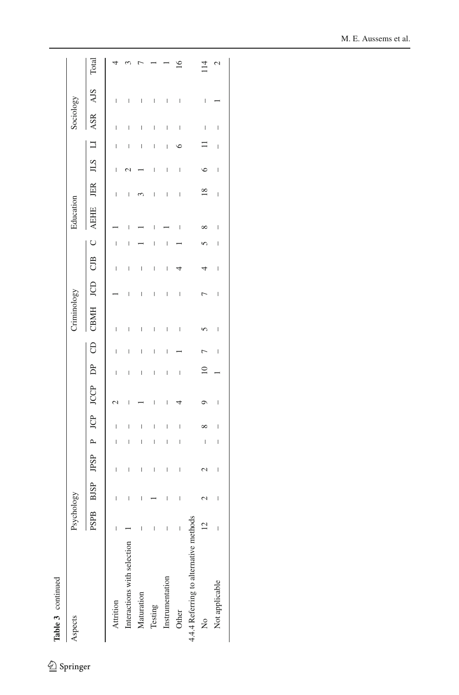| Table 3 continued                      |                          |                                |                                |             |                                |                                |   |                          |             |                                |                                |                          |                 |                          |                                |                          |                                |   |       |
|----------------------------------------|--------------------------|--------------------------------|--------------------------------|-------------|--------------------------------|--------------------------------|---|--------------------------|-------------|--------------------------------|--------------------------------|--------------------------|-----------------|--------------------------|--------------------------------|--------------------------|--------------------------------|---|-------|
| Aspects                                | Psy                      |                                |                                |             |                                |                                |   |                          | Criminology |                                |                                |                          | Education       |                          |                                |                          | Sociology                      |   |       |
|                                        | $\frac{1}{\sqrt{2}}$     |                                |                                |             |                                | BISP JPSP P JCP JCCP DP        |   | $\theta$                 | CBMH        |                                | JCD CJB C                      |                          | AEHE JER JLS LI |                          |                                |                          | ASR AJS                        |   | Total |
| Attrition                              | $\overline{\phantom{a}}$ | I                              | I                              | I           | I                              |                                | I | I                        | I           |                                | $\overline{\phantom{a}}$       | I                        |                 | I                        | I                              | I                        | I                              | I |       |
| Interactions with selection            |                          | I                              | I                              | I           | I                              | I                              | I | I                        | I           | I                              | $\overline{\phantom{a}}$       | $\overline{\phantom{a}}$ | I               | I                        |                                | I                        | I                              | I |       |
| Maturation                             | I                        | I                              | I                              | I           | Ï                              |                                | I | I                        | I           | I                              | I                              |                          |                 |                          |                                | I                        | Ï                              | I |       |
| Testing                                | l                        |                                | $\overline{\phantom{a}}$       | I           | I                              | I                              | I | $\overline{\phantom{a}}$ | I           | $\overline{\phantom{a}}$       | $\overline{\phantom{a}}$       | I                        | ı               | I                        | I                              | $\overline{\phantom{a}}$ | I                              | I |       |
| Instrumentation                        | j                        | I                              | I                              | I           | I                              | I                              | I | I                        | I           | I                              | I                              | I                        |                 | I                        | I                              | Ï                        | I                              | I |       |
| Other                                  | I                        | I                              | I                              | I           | I                              |                                | I |                          | I           | I                              |                                |                          | I               | I                        | I                              |                          | I                              | I |       |
| 4.4.4 Referring to alternative methods |                          |                                |                                |             |                                |                                |   |                          |             |                                |                                |                          |                 |                          |                                |                          |                                |   |       |
| $\frac{1}{2}$                          | $\overline{c}$           |                                | $\mathcal{C}$                  | I           |                                |                                |   |                          |             |                                |                                |                          |                 | $\frac{8}{18}$           | ٥                              |                          | I                              | I |       |
| Not applicable                         | $\overline{\phantom{a}}$ | $\begin{array}{c} \end{array}$ | $\begin{array}{c} \end{array}$ | $\mathsf I$ | $\begin{array}{c} \end{array}$ | $\begin{array}{c} \end{array}$ |   | $\overline{\phantom{a}}$ | $\mathsf I$ | $\begin{array}{c} \end{array}$ | $\begin{array}{c} \end{array}$ | $\mathsf I$              | I               | $\overline{\phantom{a}}$ | $\begin{array}{c} \end{array}$ | $\overline{\phantom{a}}$ | $\begin{array}{c} \end{array}$ |   |       |
|                                        |                          |                                |                                |             |                                |                                |   |                          |             |                                |                                |                          |                 |                          |                                |                          |                                |   |       |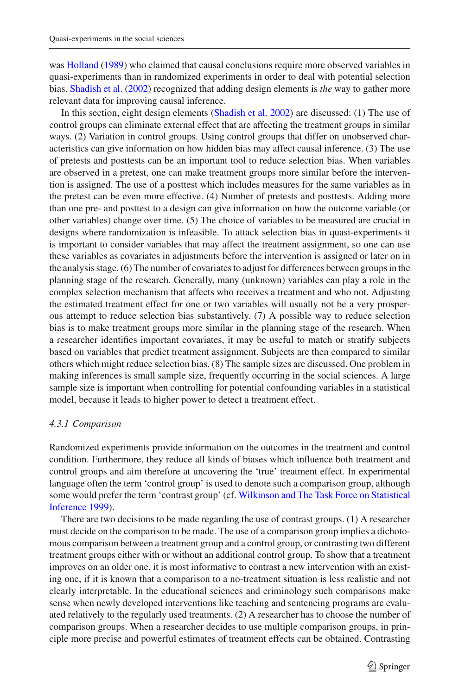was [Holland](#page-21-18) [\(1989\)](#page-21-18) who claimed that causal conclusions require more observed variables in quasi-experiments than in randomized experiments in order to deal with potential selection bias. [Shadish et al.](#page-21-0) [\(2002\)](#page-21-0) recognized that adding design elements is *the* way to gather more relevant data for improving causal inference.

In this section, eight design elements [\(Shadish et al. 2002\)](#page-21-0) are discussed: (1) The use of control groups can eliminate external effect that are affecting the treatment groups in similar ways. (2) Variation in control groups. Using control groups that differ on unobserved characteristics can give information on how hidden bias may affect causal inference. (3) The use of pretests and posttests can be an important tool to reduce selection bias. When variables are observed in a pretest, one can make treatment groups more similar before the intervention is assigned. The use of a posttest which includes measures for the same variables as in the pretest can be even more effective. (4) Number of pretests and posttests. Adding more than one pre- and posttest to a design can give information on how the outcome variable (or other variables) change over time. (5) The choice of variables to be measured are crucial in designs where randomization is infeasible. To attack selection bias in quasi-experiments it is important to consider variables that may affect the treatment assignment, so one can use these variables as covariates in adjustments before the intervention is assigned or later on in the analysis stage. (6) The number of covariates to adjust for differences between groups in the planning stage of the research. Generally, many (unknown) variables can play a role in the complex selection mechanism that affects who receives a treatment and who not. Adjusting the estimated treatment effect for one or two variables will usually not be a very prosperous attempt to reduce selection bias substantively. (7) A possible way to reduce selection bias is to make treatment groups more similar in the planning stage of the research. When a researcher identifies important covariates, it may be useful to match or stratify subjects based on variables that predict treatment assignment. Subjects are then compared to similar others which might reduce selection bias. (8) The sample sizes are discussed. One problem in making inferences is small sample size, frequently occurring in the social sciences. A large sample size is important when controlling for potential confounding variables in a statistical model, because it leads to higher power to detect a treatment effect.

#### *4.3.1 Comparison*

Randomized experiments provide information on the outcomes in the treatment and control condition. Furthermore, they reduce all kinds of biases which influence both treatment and control groups and aim therefore at uncovering the 'true' treatment effect. In experimental language often the term 'control group' is used to denote such a comparison group, although some wo[uld](#page-21-7) [prefer](#page-21-7) [the](#page-21-7) [term](#page-21-7) ['contrast](#page-21-7) [group'](#page-21-7) [\(cf.](#page-21-7) Wilkinson and The Task Force on Statistical Inference [1999](#page-21-7)).

There are two decisions to be made regarding the use of contrast groups. (1) A researcher must decide on the comparison to be made. The use of a comparison group implies a dichotomous comparison between a treatment group and a control group, or contrasting two different treatment groups either with or without an additional control group. To show that a treatment improves on an older one, it is most informative to contrast a new intervention with an existing one, if it is known that a comparison to a no-treatment situation is less realistic and not clearly interpretable. In the educational sciences and criminology such comparisons make sense when newly developed interventions like teaching and sentencing programs are evaluated relatively to the regularly used treatments. (2) A researcher has to choose the number of comparison groups. When a researcher decides to use multiple comparison groups, in principle more precise and powerful estimates of treatment effects can be obtained. Contrasting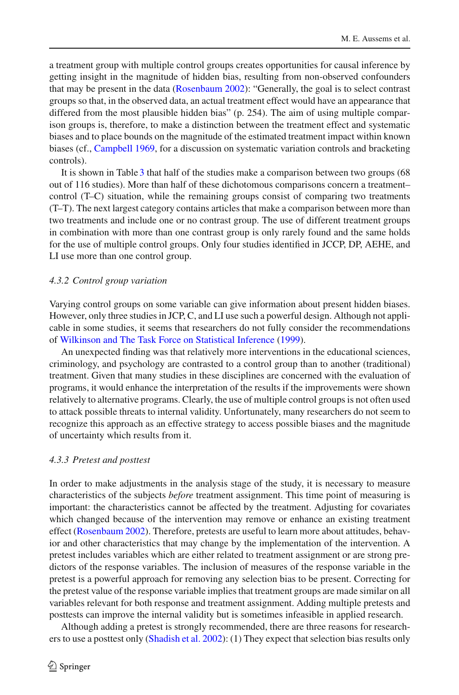a treatment group with multiple control groups creates opportunities for causal inference by getting insight in the magnitude of hidden bias, resulting from non-observed confounders that may be present in the data [\(Rosenbaum 2002](#page-21-15)): "Generally, the goal is to select contrast groups so that, in the observed data, an actual treatment effect would have an appearance that differed from the most plausible hidden bias" (p. 254). The aim of using multiple comparison groups is, therefore, to make a distinction between the treatment effect and systematic biases and to place bounds on the magnitude of the estimated treatment impact within known biases (cf., [Campbell 1969](#page-21-19), for a discussion on systematic variation controls and bracketing controls).

It is shown in Table [3](#page-9-0) that half of the studies make a comparison between two groups (68 out of 116 studies). More than half of these dichotomous comparisons concern a treatment– control (T–C) situation, while the remaining groups consist of comparing two treatments (T–T). The next largest category contains articles that make a comparison between more than two treatments and include one or no contrast group. The use of different treatment groups in combination with more than one contrast group is only rarely found and the same holds for the use of multiple control groups. Only four studies identified in JCCP, DP, AEHE, and LI use more than one control group.

#### *4.3.2 Control group variation*

Varying control groups on some variable can give information about present hidden biases. However, only three studies in JCP, C, and LI use such a powerful design. Although not applicable in some studies, it seems that researchers do not fully consider the recommendations of [Wilkinson and The Task Force on Statistical Inference](#page-21-7) [\(1999](#page-21-7)).

An unexpected finding was that relatively more interventions in the educational sciences, criminology, and psychology are contrasted to a control group than to another (traditional) treatment. Given that many studies in these disciplines are concerned with the evaluation of programs, it would enhance the interpretation of the results if the improvements were shown relatively to alternative programs. Clearly, the use of multiple control groups is not often used to attack possible threats to internal validity. Unfortunately, many researchers do not seem to recognize this approach as an effective strategy to access possible biases and the magnitude of uncertainty which results from it.

#### *4.3.3 Pretest and posttest*

In order to make adjustments in the analysis stage of the study, it is necessary to measure characteristics of the subjects *before* treatment assignment. This time point of measuring is important: the characteristics cannot be affected by the treatment. Adjusting for covariates which changed because of the intervention may remove or enhance an existing treatment effect [\(Rosenbaum 2002\)](#page-21-15). Therefore, pretests are useful to learn more about attitudes, behavior and other characteristics that may change by the implementation of the intervention. A pretest includes variables which are either related to treatment assignment or are strong predictors of the response variables. The inclusion of measures of the response variable in the pretest is a powerful approach for removing any selection bias to be present. Correcting for the pretest value of the response variable implies that treatment groups are made similar on all variables relevant for both response and treatment assignment. Adding multiple pretests and posttests can improve the internal validity but is sometimes infeasible in applied research.

Although adding a pretest is strongly recommended, there are three reasons for research-ers to use a posttest only [\(Shadish et al. 2002\)](#page-21-0): (1) They expect that selection bias results only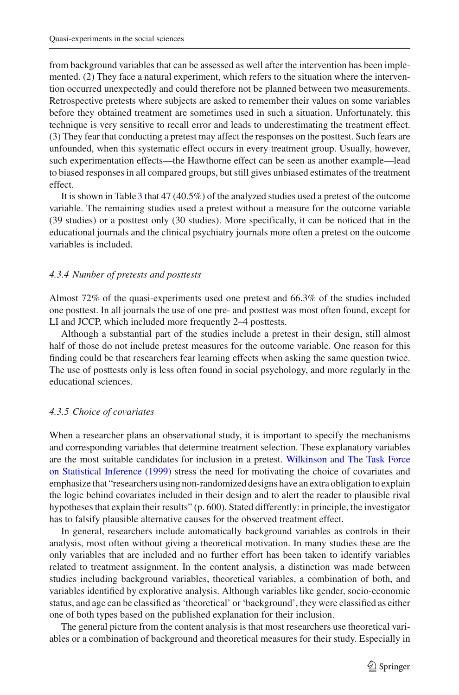from background variables that can be assessed as well after the intervention has been implemented. (2) They face a natural experiment, which refers to the situation where the intervention occurred unexpectedly and could therefore not be planned between two measurements. Retrospective pretests where subjects are asked to remember their values on some variables before they obtained treatment are sometimes used in such a situation. Unfortunately, this technique is very sensitive to recall error and leads to underestimating the treatment effect. (3) They fear that conducting a pretest may affect the responses on the posttest. Such fears are unfounded, when this systematic effect occurs in every treatment group. Usually, however, such experimentation effects—the Hawthorne effect can be seen as another example—lead to biased responses in all compared groups, but still gives unbiased estimates of the treatment effect.

It is shown in Table [3](#page-9-0) that 47 (40.5%) of the analyzed studies used a pretest of the outcome variable. The remaining studies used a pretest without a measure for the outcome variable (39 studies) or a posttest only (30 studies). More specifically, it can be noticed that in the educational journals and the clinical psychiatry journals more often a pretest on the outcome variables is included.

#### *4.3.4 Number of pretests and posttests*

Almost 72% of the quasi-experiments used one pretest and 66.3% of the studies included one posttest. In all journals the use of one pre- and posttest was most often found, except for LI and JCCP, which included more frequently 2–4 posttests.

Although a substantial part of the studies include a pretest in their design, still almost half of those do not include pretest measures for the outcome variable. One reason for this finding could be that researchers fear learning effects when asking the same question twice. The use of posttests only is less often found in social psychology, and more regularly in the educational sciences.

#### *4.3.5 Choice of covariates*

When a researcher plans an observational study, it is important to specify the mechanisms and corresponding variables that determine treatment selection. These explanatory variables are the most suitable c[andidates](#page-21-7) [for](#page-21-7) [inclusion](#page-21-7) [in](#page-21-7) [a](#page-21-7) [pretest.](#page-21-7) Wilkinson and The Task Force on Statistical Inference [\(1999](#page-21-7)) stress the need for motivating the choice of covariates and emphasize that "researchers using non-randomized designs have an extra obligation to explain the logic behind covariates included in their design and to alert the reader to plausible rival hypotheses that explain their results" (p. 600). Stated differently: in principle, the investigator has to falsify plausible alternative causes for the observed treatment effect.

In general, researchers include automatically background variables as controls in their analysis, most often without giving a theoretical motivation. In many studies these are the only variables that are included and no further effort has been taken to identify variables related to treatment assignment. In the content analysis, a distinction was made between studies including background variables, theoretical variables, a combination of both, and variables identified by explorative analysis. Although variables like gender, socio-economic status, and age can be classified as 'theoretical' or 'background', they were classified as either one of both types based on the published explanation for their inclusion.

The general picture from the content analysis is that most researchers use theoretical variables or a combination of background and theoretical measures for their study. Especially in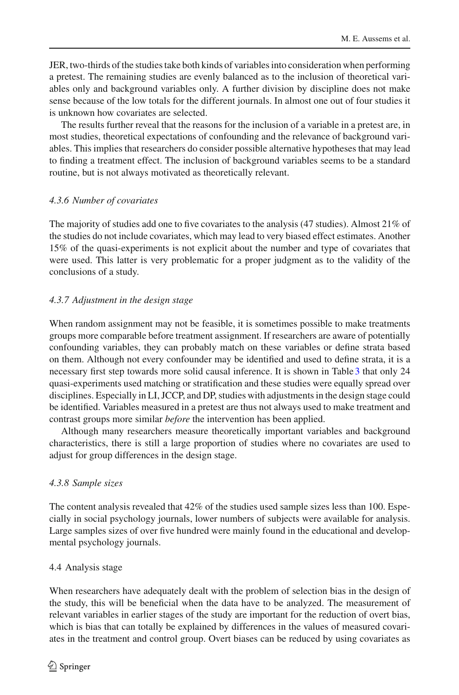JER, two-thirds of the studies take both kinds of variables into consideration when performing a pretest. The remaining studies are evenly balanced as to the inclusion of theoretical variables only and background variables only. A further division by discipline does not make sense because of the low totals for the different journals. In almost one out of four studies it is unknown how covariates are selected.

The results further reveal that the reasons for the inclusion of a variable in a pretest are, in most studies, theoretical expectations of confounding and the relevance of background variables. This implies that researchers do consider possible alternative hypotheses that may lead to finding a treatment effect. The inclusion of background variables seems to be a standard routine, but is not always motivated as theoretically relevant.

### *4.3.6 Number of covariates*

The majority of studies add one to five covariates to the analysis (47 studies). Almost 21% of the studies do not include covariates, which may lead to very biased effect estimates. Another 15% of the quasi-experiments is not explicit about the number and type of covariates that were used. This latter is very problematic for a proper judgment as to the validity of the conclusions of a study.

## *4.3.7 Adjustment in the design stage*

When random assignment may not be feasible, it is sometimes possible to make treatments groups more comparable before treatment assignment. If researchers are aware of potentially confounding variables, they can probably match on these variables or define strata based on them. Although not every confounder may be identified and used to define strata, it is a necessary first step towards more solid causal inference. It is shown in Table [3](#page-9-0) that only 24 quasi-experiments used matching or stratification and these studies were equally spread over disciplines. Especially in LI, JCCP, and DP, studies with adjustments in the design stage could be identified. Variables measured in a pretest are thus not always used to make treatment and contrast groups more similar *before* the intervention has been applied.

Although many researchers measure theoretically important variables and background characteristics, there is still a large proportion of studies where no covariates are used to adjust for group differences in the design stage.

# *4.3.8 Sample sizes*

The content analysis revealed that 42% of the studies used sample sizes less than 100. Especially in social psychology journals, lower numbers of subjects were available for analysis. Large samples sizes of over five hundred were mainly found in the educational and developmental psychology journals.

### 4.4 Analysis stage

When researchers have adequately dealt with the problem of selection bias in the design of the study, this will be beneficial when the data have to be analyzed. The measurement of relevant variables in earlier stages of the study are important for the reduction of overt bias, which is bias that can totally be explained by differences in the values of measured covariates in the treatment and control group. Overt biases can be reduced by using covariates as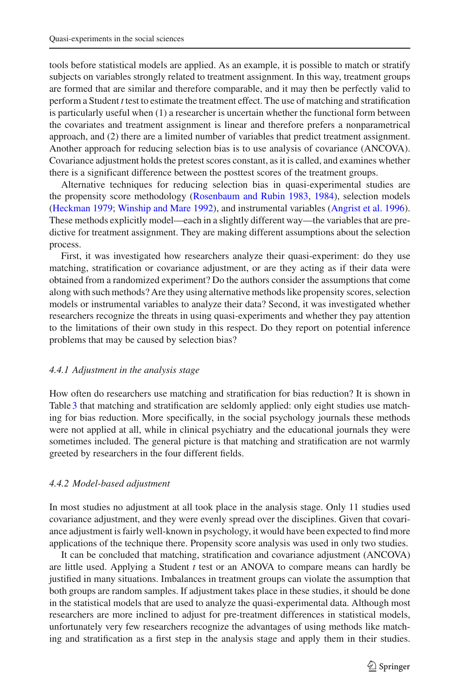tools before statistical models are applied. As an example, it is possible to match or stratify subjects on variables strongly related to treatment assignment. In this way, treatment groups are formed that are similar and therefore comparable, and it may then be perfectly valid to perform a Student *t* test to estimate the treatment effect. The use of matching and stratification is particularly useful when (1) a researcher is uncertain whether the functional form between the covariates and treatment assignment is linear and therefore prefers a nonparametrical approach, and (2) there are a limited number of variables that predict treatment assignment. Another approach for reducing selection bias is to use analysis of covariance (ANCOVA). Covariance adjustment holds the pretest scores constant, as it is called, and examines whether there is a significant difference between the posttest scores of the treatment groups.

Alternative techniques for reducing selection bias in quasi-experimental studies are the propensity score methodology [\(Rosenbaum and Rubin 1983](#page-21-8), [1984\)](#page-21-20), selection models [\(Heckman 1979;](#page-21-21) [Winship and Mare 1992](#page-21-22)), and instrumental variables [\(Angrist et al. 1996\)](#page-21-9). These methods explicitly model—each in a slightly different way—the variables that are predictive for treatment assignment. They are making different assumptions about the selection process.

First, it was investigated how researchers analyze their quasi-experiment: do they use matching, stratification or covariance adjustment, or are they acting as if their data were obtained from a randomized experiment? Do the authors consider the assumptions that come along with such methods? Are they using alternative methods like propensity scores, selection models or instrumental variables to analyze their data? Second, it was investigated whether researchers recognize the threats in using quasi-experiments and whether they pay attention to the limitations of their own study in this respect. Do they report on potential inference problems that may be caused by selection bias?

#### *4.4.1 Adjustment in the analysis stage*

How often do researchers use matching and stratification for bias reduction? It is shown in Table [3](#page-9-0) that matching and stratification are seldomly applied: only eight studies use matching for bias reduction. More specifically, in the social psychology journals these methods were not applied at all, while in clinical psychiatry and the educational journals they were sometimes included. The general picture is that matching and stratification are not warmly greeted by researchers in the four different fields.

#### *4.4.2 Model-based adjustment*

In most studies no adjustment at all took place in the analysis stage. Only 11 studies used covariance adjustment, and they were evenly spread over the disciplines. Given that covariance adjustment is fairly well-known in psychology, it would have been expected to find more applications of the technique there. Propensity score analysis was used in only two studies.

It can be concluded that matching, stratification and covariance adjustment (ANCOVA) are little used. Applying a Student *t* test or an ANOVA to compare means can hardly be justified in many situations. Imbalances in treatment groups can violate the assumption that both groups are random samples. If adjustment takes place in these studies, it should be done in the statistical models that are used to analyze the quasi-experimental data. Although most researchers are more inclined to adjust for pre-treatment differences in statistical models, unfortunately very few researchers recognize the advantages of using methods like matching and stratification as a first step in the analysis stage and apply them in their studies.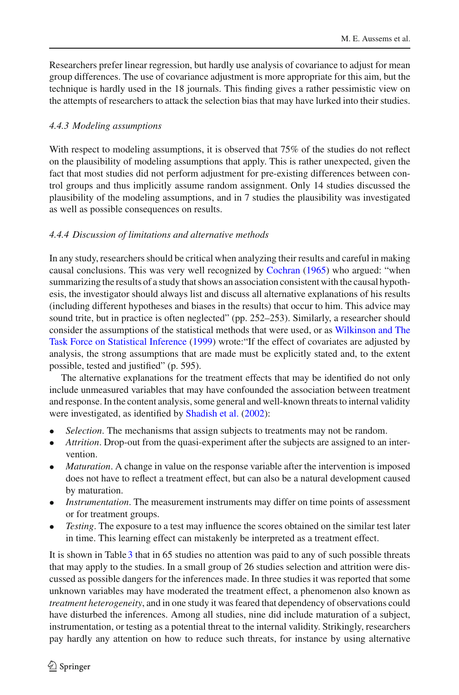Researchers prefer linear regression, but hardly use analysis of covariance to adjust for mean group differences. The use of covariance adjustment is more appropriate for this aim, but the technique is hardly used in the 18 journals. This finding gives a rather pessimistic view on the attempts of researchers to attack the selection bias that may have lurked into their studies.

### *4.4.3 Modeling assumptions*

With respect to modeling assumptions, it is observed that 75% of the studies do not reflect on the plausibility of modeling assumptions that apply. This is rather unexpected, given the fact that most studies did not perform adjustment for pre-existing differences between control groups and thus implicitly assume random assignment. Only 14 studies discussed the plausibility of the modeling assumptions, and in 7 studies the plausibility was investigated as well as possible consequences on results.

### *4.4.4 Discussion of limitations and alternative methods*

In any study, researchers should be critical when analyzing their results and careful in making causal conclusions. This was very well recognized by [Cochran](#page-21-17) [\(1965](#page-21-17)) who argued: "when summarizing the results of a study that shows an association consistent with the causal hypothesis, the investigator should always list and discuss all alternative explanations of his results (including different hypotheses and biases in the results) that occur to him. This advice may sound trite, but in practice is often neglected" (pp. 252–253). Similarly, a researcher should consider the assumptions of the st[atistical](#page-21-7) [methods](#page-21-7) [that](#page-21-7) [were](#page-21-7) [used,](#page-21-7) [or](#page-21-7) [as](#page-21-7) Wilkinson and The Task Force on Statistical Inference [\(1999\)](#page-21-7) wrote:"If the effect of covariates are adjusted by analysis, the strong assumptions that are made must be explicitly stated and, to the extent possible, tested and justified" (p. 595).

The alternative explanations for the treatment effects that may be identified do not only include unmeasured variables that may have confounded the association between treatment and response. In the content analysis, some general and well-known threats to internal validity were investigated, as identified by [Shadish et al.](#page-21-0) [\(2002](#page-21-0)):

- *Selection*. The mechanisms that assign subjects to treatments may not be random.
- *Attrition*. Drop-out from the quasi-experiment after the subjects are assigned to an intervention.
- *Maturation*. A change in value on the response variable after the intervention is imposed does not have to reflect a treatment effect, but can also be a natural development caused by maturation.
- *Instrumentation*. The measurement instruments may differ on time points of assessment or for treatment groups.
- *Testing*. The exposure to a test may influence the scores obtained on the similar test later in time. This learning effect can mistakenly be interpreted as a treatment effect.

It is shown in Table [3](#page-9-0) that in 65 studies no attention was paid to any of such possible threats that may apply to the studies. In a small group of 26 studies selection and attrition were discussed as possible dangers for the inferences made. In three studies it was reported that some unknown variables may have moderated the treatment effect, a phenomenon also known as *treatment heterogeneity*, and in one study it was feared that dependency of observations could have disturbed the inferences. Among all studies, nine did include maturation of a subject, instrumentation, or testing as a potential threat to the internal validity. Strikingly, researchers pay hardly any attention on how to reduce such threats, for instance by using alternative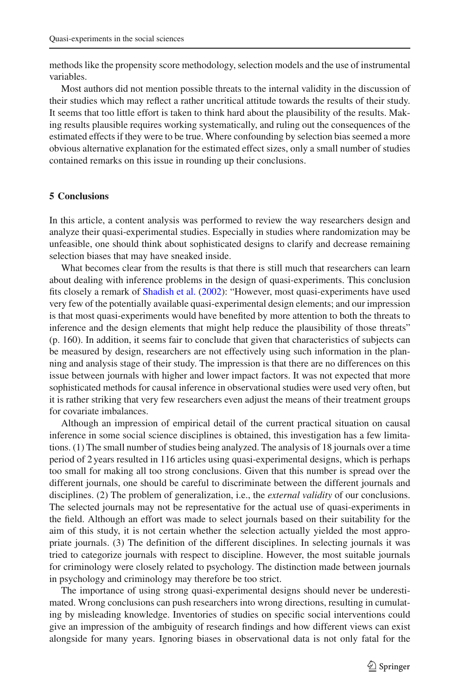methods like the propensity score methodology, selection models and the use of instrumental variables.

Most authors did not mention possible threats to the internal validity in the discussion of their studies which may reflect a rather uncritical attitude towards the results of their study. It seems that too little effort is taken to think hard about the plausibility of the results. Making results plausible requires working systematically, and ruling out the consequences of the estimated effects if they were to be true. Where confounding by selection bias seemed a more obvious alternative explanation for the estimated effect sizes, only a small number of studies contained remarks on this issue in rounding up their conclusions.

### **5 Conclusions**

In this article, a content analysis was performed to review the way researchers design and analyze their quasi-experimental studies. Especially in studies where randomization may be unfeasible, one should think about sophisticated designs to clarify and decrease remaining selection biases that may have sneaked inside.

What becomes clear from the results is that there is still much that researchers can learn about dealing with inference problems in the design of quasi-experiments. This conclusion fits closely a remark of [Shadish et al.](#page-21-0) [\(2002](#page-21-0)): "However, most quasi-experiments have used very few of the potentially available quasi-experimental design elements; and our impression is that most quasi-experiments would have benefited by more attention to both the threats to inference and the design elements that might help reduce the plausibility of those threats" (p. 160). In addition, it seems fair to conclude that given that characteristics of subjects can be measured by design, researchers are not effectively using such information in the planning and analysis stage of their study. The impression is that there are no differences on this issue between journals with higher and lower impact factors. It was not expected that more sophisticated methods for causal inference in observational studies were used very often, but it is rather striking that very few researchers even adjust the means of their treatment groups for covariate imbalances.

Although an impression of empirical detail of the current practical situation on causal inference in some social science disciplines is obtained, this investigation has a few limitations. (1) The small number of studies being analyzed. The analysis of 18 journals over a time period of 2 years resulted in 116 articles using quasi-experimental designs, which is perhaps too small for making all too strong conclusions. Given that this number is spread over the different journals, one should be careful to discriminate between the different journals and disciplines. (2) The problem of generalization, i.e., the *external validity* of our conclusions. The selected journals may not be representative for the actual use of quasi-experiments in the field. Although an effort was made to select journals based on their suitability for the aim of this study, it is not certain whether the selection actually yielded the most appropriate journals. (3) The definition of the different disciplines. In selecting journals it was tried to categorize journals with respect to discipline. However, the most suitable journals for criminology were closely related to psychology. The distinction made between journals in psychology and criminology may therefore be too strict.

The importance of using strong quasi-experimental designs should never be underestimated. Wrong conclusions can push researchers into wrong directions, resulting in cumulating by misleading knowledge. Inventories of studies on specific social interventions could give an impression of the ambiguity of research findings and how different views can exist alongside for many years. Ignoring biases in observational data is not only fatal for the